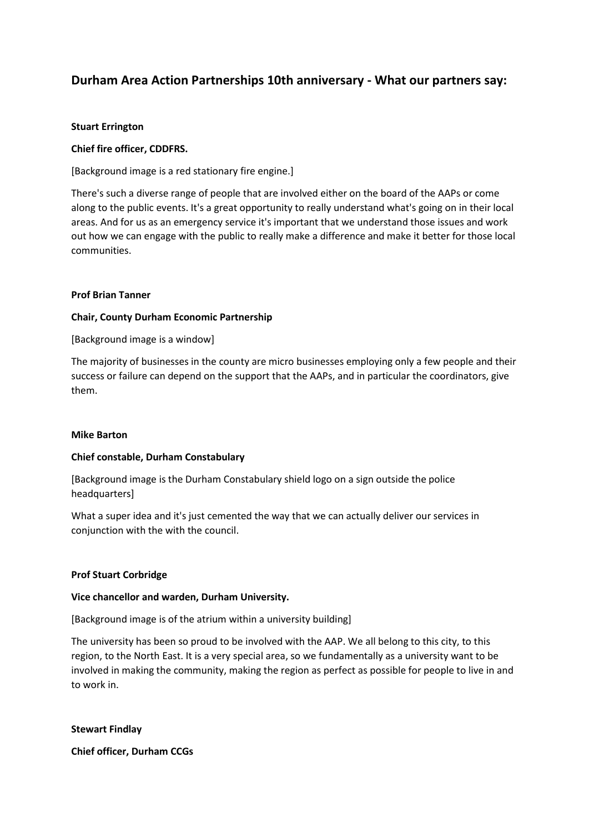# **Durham Area Action Partnerships 10th anniversary - What our partners say:**

## **Stuart Errington**

# **Chief fire officer, CDDFRS.**

[Background image is a red stationary fire engine.]

There's such a diverse range of people that are involved either on the board of the AAPs or come along to the public events. It's a great opportunity to really understand what's going on in their local areas. And for us as an emergency service it's important that we understand those issues and work out how we can engage with the public to really make a difference and make it better for those local communities.

# **Prof Brian Tanner**

# **Chair, County Durham Economic Partnership**

[Background image is a window]

The majority of businesses in the county are micro businesses employing only a few people and their success or failure can depend on the support that the AAPs, and in particular the coordinators, give them.

## **Mike Barton**

## **Chief constable, Durham Constabulary**

[Background image is the Durham Constabulary shield logo on a sign outside the police headquarters]

What a super idea and it's just cemented the way that we can actually deliver our services in conjunction with the with the council.

## **Prof Stuart Corbridge**

## **Vice chancellor and warden, Durham University.**

[Background image is of the atrium within a university building]

The university has been so proud to be involved with the AAP. We all belong to this city, to this region, to the North East. It is a very special area, so we fundamentally as a university want to be involved in making the community, making the region as perfect as possible for people to live in and to work in.

**Stewart Findlay**

**Chief officer, Durham CCGs**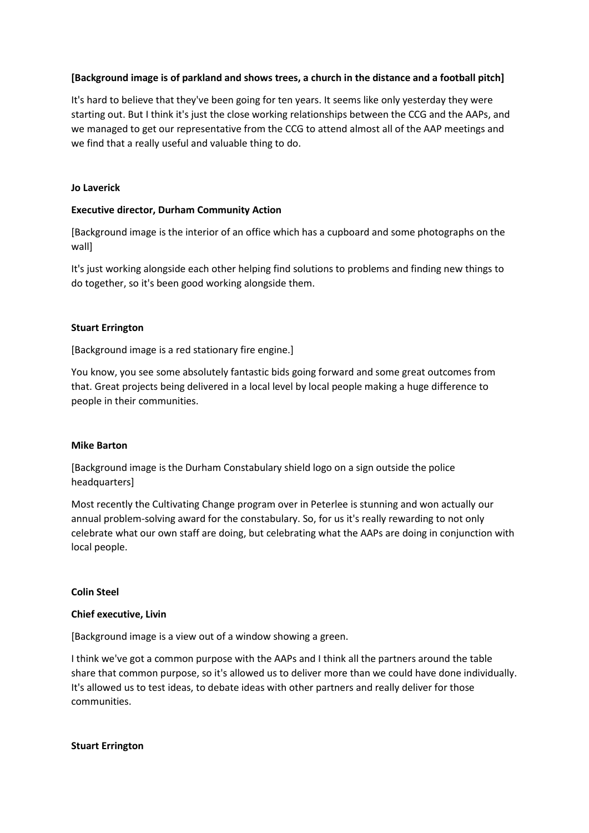# **[Background image is of parkland and shows trees, a church in the distance and a football pitch]**

It's hard to believe that they've been going for ten years. It seems like only yesterday they were starting out. But I think it's just the close working relationships between the CCG and the AAPs, and we managed to get our representative from the CCG to attend almost all of the AAP meetings and we find that a really useful and valuable thing to do.

#### **Jo Laverick**

#### **Executive director, Durham Community Action**

[Background image is the interior of an office which has a cupboard and some photographs on the wall]

It's just working alongside each other helping find solutions to problems and finding new things to do together, so it's been good working alongside them.

#### **Stuart Errington**

[Background image is a red stationary fire engine.]

You know, you see some absolutely fantastic bids going forward and some great outcomes from that. Great projects being delivered in a local level by local people making a huge difference to people in their communities.

## **Mike Barton**

[Background image is the Durham Constabulary shield logo on a sign outside the police headquarters]

Most recently the Cultivating Change program over in Peterlee is stunning and won actually our annual problem-solving award for the constabulary. So, for us it's really rewarding to not only celebrate what our own staff are doing, but celebrating what the AAPs are doing in conjunction with local people.

#### **Colin Steel**

#### **Chief executive, Livin**

[Background image is a view out of a window showing a green.

I think we've got a common purpose with the AAPs and I think all the partners around the table share that common purpose, so it's allowed us to deliver more than we could have done individually. It's allowed us to test ideas, to debate ideas with other partners and really deliver for those communities.

#### **Stuart Errington**